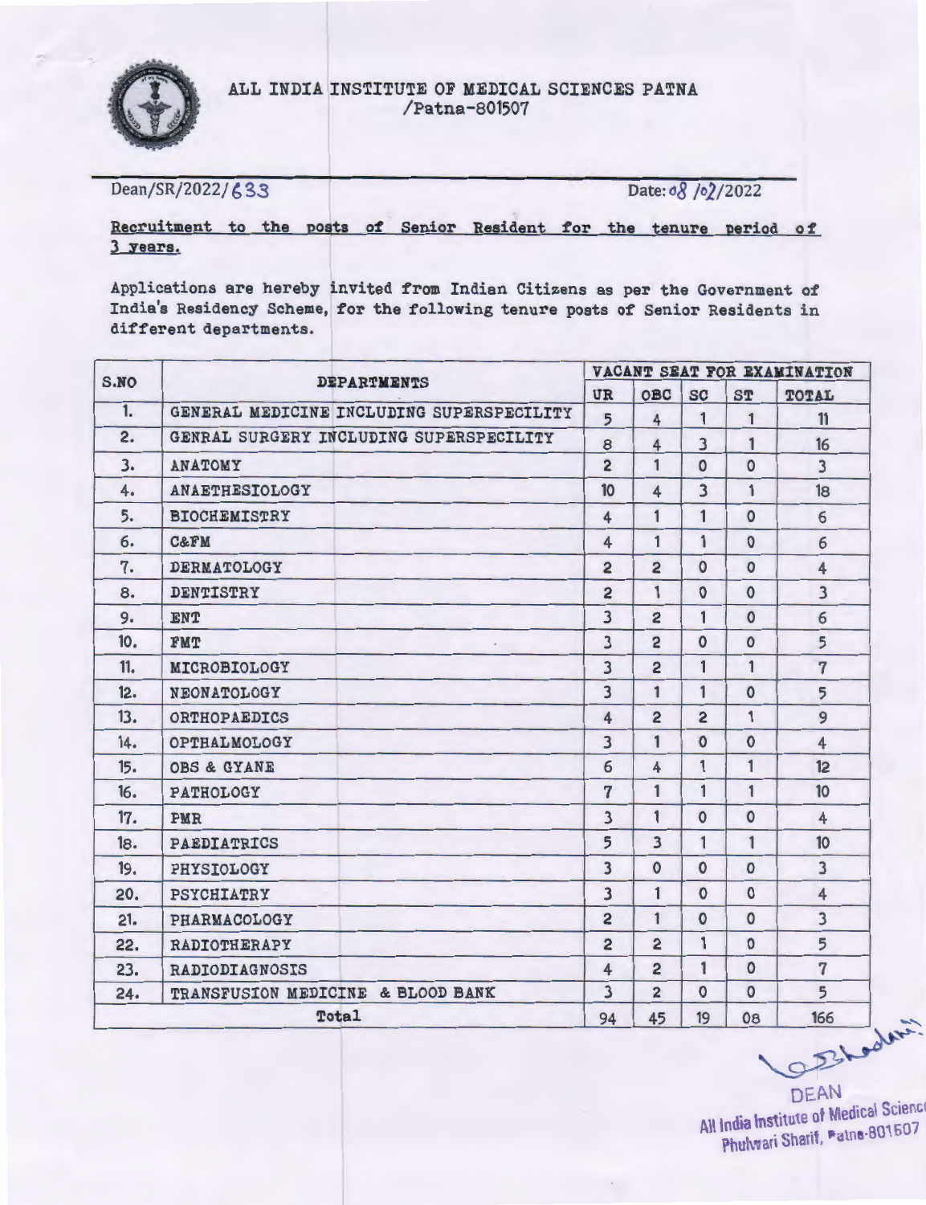

Dean/SR/2022/ 633 Date: *a8 | o* 2/2022

# Recruitment to the posts of Senior Resident for the tenure period of 3 years.

Applications are hereby invited from Indian Citizens as per the Government of India's Residency Scheme, for the following tenure posts of Senior Residents in different departments.

| S.NO |                     |                                           | VACANT SEAT FOR EXAMINATION |                |                         |              |                         |
|------|---------------------|-------------------------------------------|-----------------------------|----------------|-------------------------|--------------|-------------------------|
|      |                     | <b>DEPARTMENTS</b>                        | UR                          | OBC            | <b>SC</b>               | <b>ST</b>    | TOTAL                   |
| 1.   |                     | GENERAL MEDICINE INCLUDING SUPERSPECILITY | $\overline{5}$              | 4              | $\mathbf{1}$            | $\mathbf{1}$ | 11                      |
| 2.   |                     | GENRAL SURGERY INCLUDING SUPERSPECILITY   | 8                           | $\overline{4}$ | $\overline{\mathbf{3}}$ | $\mathbf{1}$ | 16                      |
| 3.   | ANATOMY             |                                           | $\overline{2}$              | 1              | $\mathbf{0}$            | $\mathbf{O}$ | $\overline{3}$          |
| 4.   | ANAETHESIOLOGY      |                                           | 10                          | $\overline{4}$ | $\overline{\mathbf{3}}$ | 1            | 18                      |
| 5.   | <b>BIOCHEMISTRY</b> |                                           | $\overline{4}$              | 1              | $\mathbf{1}$            | $\Omega$     | 6                       |
| 6.   | <b>C&amp;FM</b>     |                                           | $\overline{4}$              | $\mathbf{1}$   | $\mathbf{1}$            | $\mathbf{O}$ | 6                       |
| 7.   | <b>DERMATOLOGY</b>  |                                           | $\overline{2}$              | $\overline{2}$ | $\mathbf{o}$            | $\mathbf{o}$ | $\overline{4}$          |
| 8.   | <b>DENTISTRY</b>    |                                           | $\overline{2}$              | 1              | $\Omega$                | $\mathbf{O}$ | $\overline{\mathbf{3}}$ |
| 9.   | <b>ENT</b>          |                                           | $\overline{\mathbf{3}}$     | $\overline{2}$ | 1                       | $\Omega$     | 6                       |
| 10.  | <b>FMT</b>          |                                           | $\overline{3}$              | $\overline{2}$ | $\mathbf{O}$            | $\mathbf{O}$ | 5                       |
| 11.  | MICROBIOLOGY        |                                           | $\overline{\mathbf{3}}$     | $\overline{2}$ | $\mathbf{1}$            | $\mathbf{1}$ | $\overline{7}$          |
| 12.  | NEONATOLOGY         |                                           | $\overline{\mathbf{3}}$     | 1              | $\mathbf{1}$            | $\mathbf 0$  | 5                       |
| 13.  | <b>ORTHOPAEDICS</b> |                                           | $\overline{4}$              | $\overline{2}$ | $\overline{2}$          | $\mathbf{1}$ | 9                       |
| 14.  | OPTHALMOLOGY        |                                           | $\overline{\mathbf{3}}$     | 1              | $\mathbf{O}$            | $\mathbf{O}$ | $\overline{4}$          |
| 15.  | OBS & GYANE         |                                           | 6                           | $\overline{4}$ | 1                       | 1            | 12                      |
| 16.  | PATHOLOGY           |                                           | $\overline{7}$              | $\mathbf{1}$   | $\mathbf{1}$            | $\mathbf{1}$ | 10 <sup>°</sup>         |
| 17.  | PMR                 |                                           | $\overline{\mathbf{3}}$     | $\mathbf{1}$   | $\mathbf{O}$            | $\circ$      | $\overline{4}$          |
| 18.  | <b>PAEDIATRICS</b>  |                                           | 5                           | $\overline{3}$ | 1                       | 1            | 10 <sup>°</sup>         |
| 19.  | PHYSIOLOGY          |                                           | $\overline{\mathbf{3}}$     | $\Omega$       | $\Omega$                | $\Omega$     | $\overline{3}$          |
| 20.  | PSYCHIATRY          |                                           | $\overline{\mathbf{3}}$     | $\mathbf{1}$   | $\Omega$                | $\mathbf{O}$ | $\overline{4}$          |
| 21.  | PHARMACOLOGY        |                                           | $\overline{2}$              | $\mathbf{1}$   | $\mathbf{0}$            | $\mathbf{0}$ | $\overline{3}$          |
| 22.  | RADIOTHERAPY        |                                           | $\overline{2}$              | $\overline{2}$ | $\mathbf{1}$            | $\Omega$     | 5                       |
| 23.  | RADIODIAGNOSIS      |                                           | $\overline{4}$              | $\overline{2}$ | $\mathbf{1}$            | $\Omega$     | $\overline{7}$          |
| 24.  |                     | TRANSFUSION MEDICINE & BLOOD BANK         | $\overline{\mathbf{3}}$     | $\overline{2}$ | $\mathbf{0}$            | $\Omega$     | $\overline{5}$          |
|      |                     | Total                                     | 94                          | 45             | 19                      | 08           | 166<br>OBLodin          |

DEAN<br>titute of Medical Scienc All India mstitute of method 801507 Phulwari Sharif, Patne-801507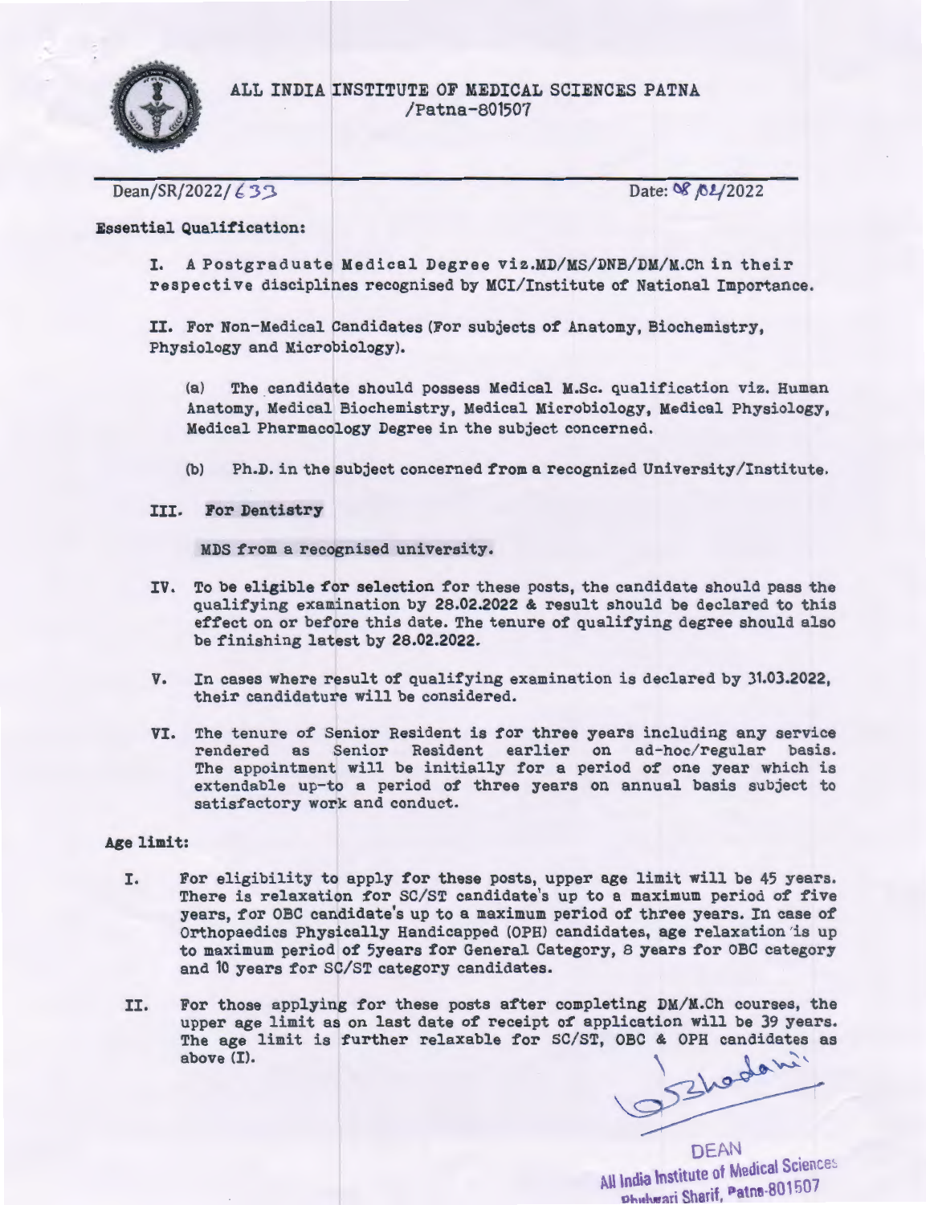

Dean/SR/2022/ 6 3 3 Date: Of *Date:* Of *Date:* Of *Date:* Of *Date:* Of *Date:* Of *Date:* Of *Date:* Of *Date:* Of *Date:* Of *Date:* Of *Date:* Of *Date:* Of *Date:* Of *Date:* Of *Date:* Of *Date:* Of *Date:* Of *Date:* 

Essential Qualification:

I. A Postgraduate Medical Degree viz.MD/MS/DNB/DM/M.Ch in their respective disciplines recognised by MCI/Institute of National Importance.

II. For Non-Medical Candidates (For subjects of Anatomy, Biochemistry, Physiology and Microbiology).

(a) The candidate should possess Medical M.Sc. qualification viz. Human Anatomy, Medical Biochemistry, Medical Microbiology, Medical Physiology, Medical Pharmacology Degree in the subject concerned.

- (b) Ph.D. in the subject concerned from a recognized University/Institute.
- III. For Dentistry

MDS from a recognised university.

- IV. To be eligible for selection for these posts, the candidate should pass the qualifying examination by 28.02.2022 & result should be declared to this effect on or before this date. The tenure of qualifying degree should also be finishing latest by 28.02.2022.
- v. In cases where result of qualifying examination is declared by 31.03.2022, their candidature will be considered.
- VI. The tenure of Senior Resident is for three years including any service rendered as senior Resident earlier on ad-hoc/regular basis. The appointment will be initially for a period of one year which is extendable up-to a period of three years on annual basis subject to satisfactory work and conduct.

### Age limit:

- I. For eligibility to apply for these posts, upper age limit will be 45 years. There is relaxation for SC/ST candidate's up to a maximum period of five years, for OBC candidate's up to a maximum period of three years. In case of Orthopaedics Physically Handicapped (OPH) candidates, age relaxation 'is up to maximum period of 5years for General Category, 8 years for OBC category and 10 years for SC/ST category candidates.
- II. For those applying for these posts after completing  $DM/M.C$ h courses, the upper age limit as on last date of receipt of application will be 39 years. The age limit is further relaxable for SC/ST, OBC & OPH candidates as above (I).

Os Ehoden?

DEAN ... All India Institute of Medical Science Phelwari Sharif. Patna-801507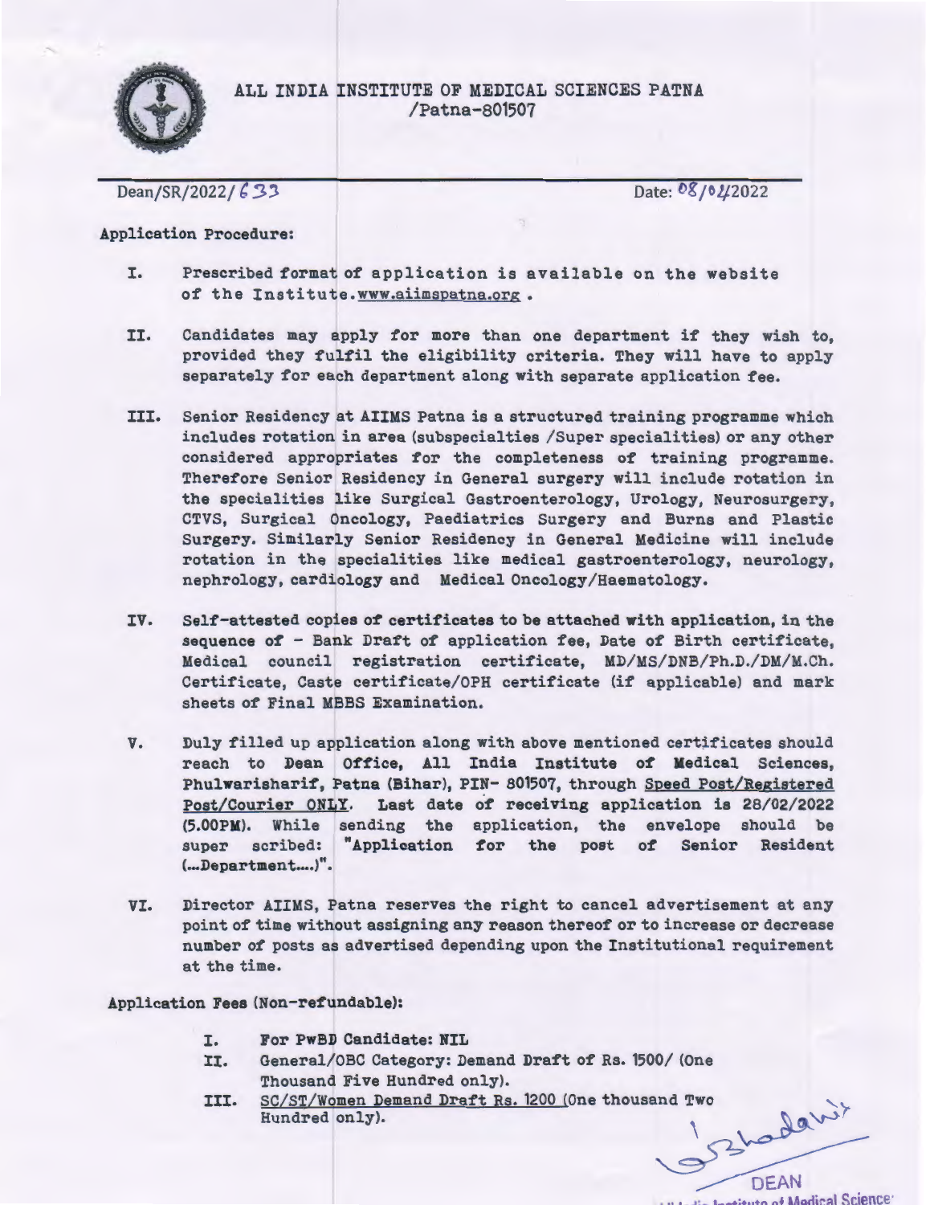

Dean/SR/2022/633

Date: 08/02/2022

#### Application Procedure:

- I. Prescribed format of application is available on the website of the Institute.www.aiimspatna.org.
- II. Candidates may apply for more than one department if they wish to, provided they fulfil the eligibility criteria. They will have to apply separately for each department along with separate application fee.
- III. Senior Residency at AIIMS Patna is a structured training programme which includes rotation in area (subspecialties /Super specialities) or any other considered appropriates for the completeness of training programme. Therefore Senior Residency in General surgery will include rotation in the specialities like Surgical Gastroenterology, Urology, Neurosurgery, CTVS, Surgical Oncology, Paediatrics Surgery and Burns and Plastic Surgery. Similarly Senior Residency in General Medicine will include rotation in the specialities like medical gastroenterology, neurology, nephrology, cardiology and Medical Oncology/Haematology.
- IV. Self-attested copies of certificates to be attached with application, in the sequence of' - Bank Draft of application fee, Date of Birth certificate, Medical council registration certificate, MD/MS/DNB/Ph.D./DM/M.Ch. Certificate, Caste certificate/OPH certificate (if applicable) and mark sheets of Final MBBS Examination.
- v. Duly filled up application along with above mentioned certificates should reach to Dean Office, All India Institute of Medical Sciences, Phulwarisharif, Patna (Bihar), PIN- 801507, through Speed Post/Registered Post/Courier ONLY. Last date of' receiving application is 28/02/2022 (5.00PM). While sending the application, the envelope should be super scribed: "Application for the post of Senior Resident  $(...$ Department....)".
- VI. Director AIIMS, Patna reserves the right to cancel advertisement at any point of time without assigning any reason thereof or to increase or decrease number of posts as advertised depending upon the Institutional requirement at the time.

Application Fees (Non-refundable):

- I. For PwBD Candidate: NIL
- II. General/OBC Category: Demand Draft of Rs. 1500/ (One Thousand Five Hundred only).
- III. SC/ST/Women Demand Draft Rs. 1200 (One thousand Two Hundred only). SC/ST/Women Demand Draft Rs. 1200 (One thousand Two Hundred only).

DEAN .... Le Lesieuto of Madical Science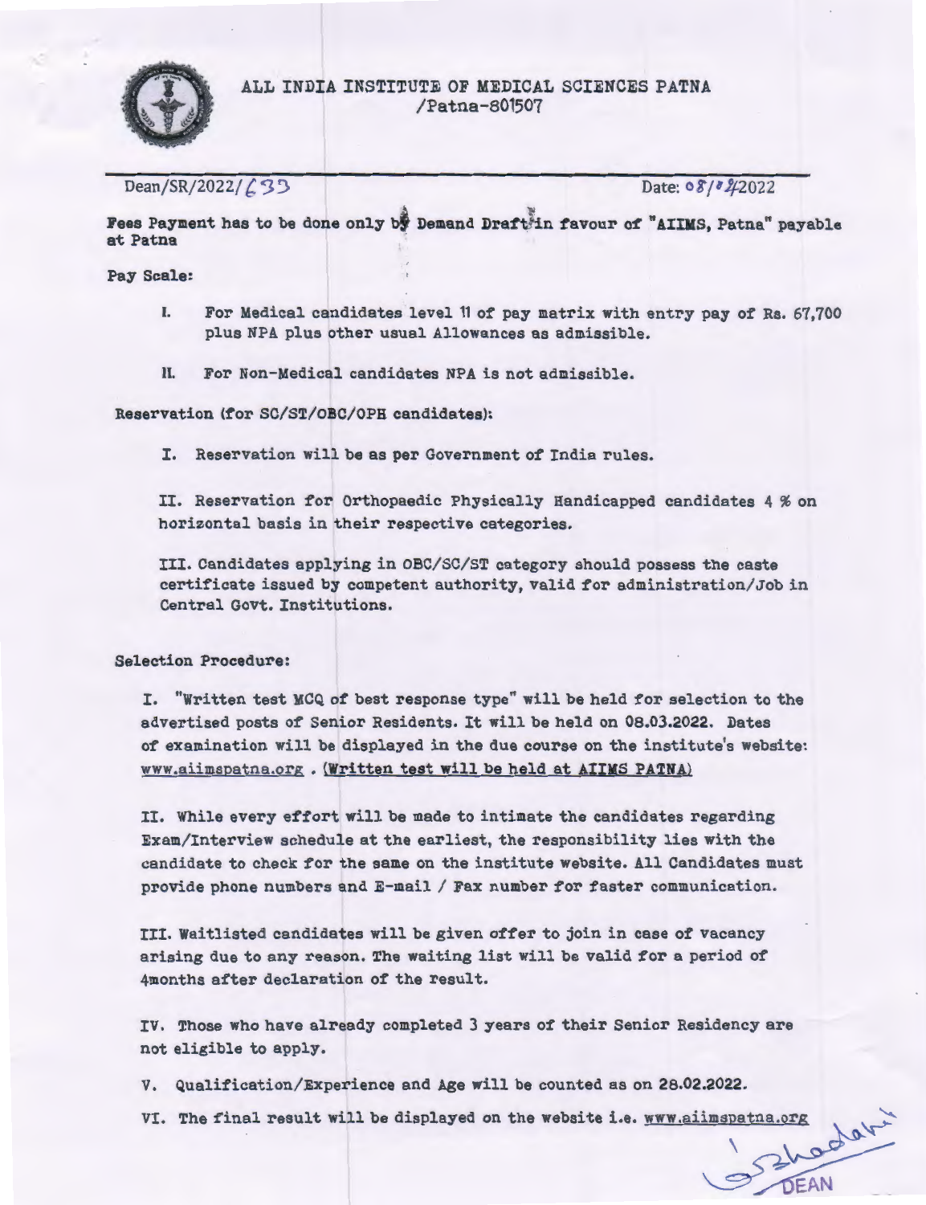

Dean/SR/2022/ *(.* <sup>3</sup>) Date: 08/<sup>8</sup>/2022

Fees Payment has to be done only by Demand Draftrin favour of "AIIMS, Patna" payable at Patna

Pay Scale:

- I. For Medical candidates level 11 of pay matrix with entry pay of Rs. 67,700 plus NPA plus other usual Allowances as admissible.
- II. For Non-Medical candidates NPA is not admissible.

Reservation (for SC/ST/OBC/OPH candidates):

I. Reservation will be as per Government of India rules.

II. Reservation for Orthopaedic Physically Handicapped candidates 4 % on horizontal basis in their respective categories.

III. Candidates applying in OBC/SC/ST category should possess the caste certificate issued by competent authority, valid for administration/Job in Central Govt. Institutions.

Selection Procedure:

I. "Written test MCQ of best response type" will be held for selection to the advertised posts of Senior Residents. It will be held on 08.03.2022. Dates of examination will be displayed in the due course on the institute's website: www.aiimspatna.org • (Written test will be held at AIIMS PATNA)

II. While every effort will be made to intimate the candidates regarding Exam/Interview schedule at the earliest, the responsibility lies with the candidate to check for the same on the institute website. All Candidates must provide phone numbers and  $E$ -mail / Fax number for faster communication.

III. Waitlisted candidates will be given offer to join in case of vacancy arising due to any reason. The waiting list will be valid for a period of 4months after declaration of the result.

IV. Those who have already completed 3 years of their Senior Residency are not eligible to apply.

v. Qualification/Experience and Age will be counted as on 28.02.2022.

VI. Qualification/Experience and Age will be counted as on 28.02.2022.<br>The final result will be displayed on the website i.e. www.aiimspatna.org and the method of the state of the state of the state of the state of the state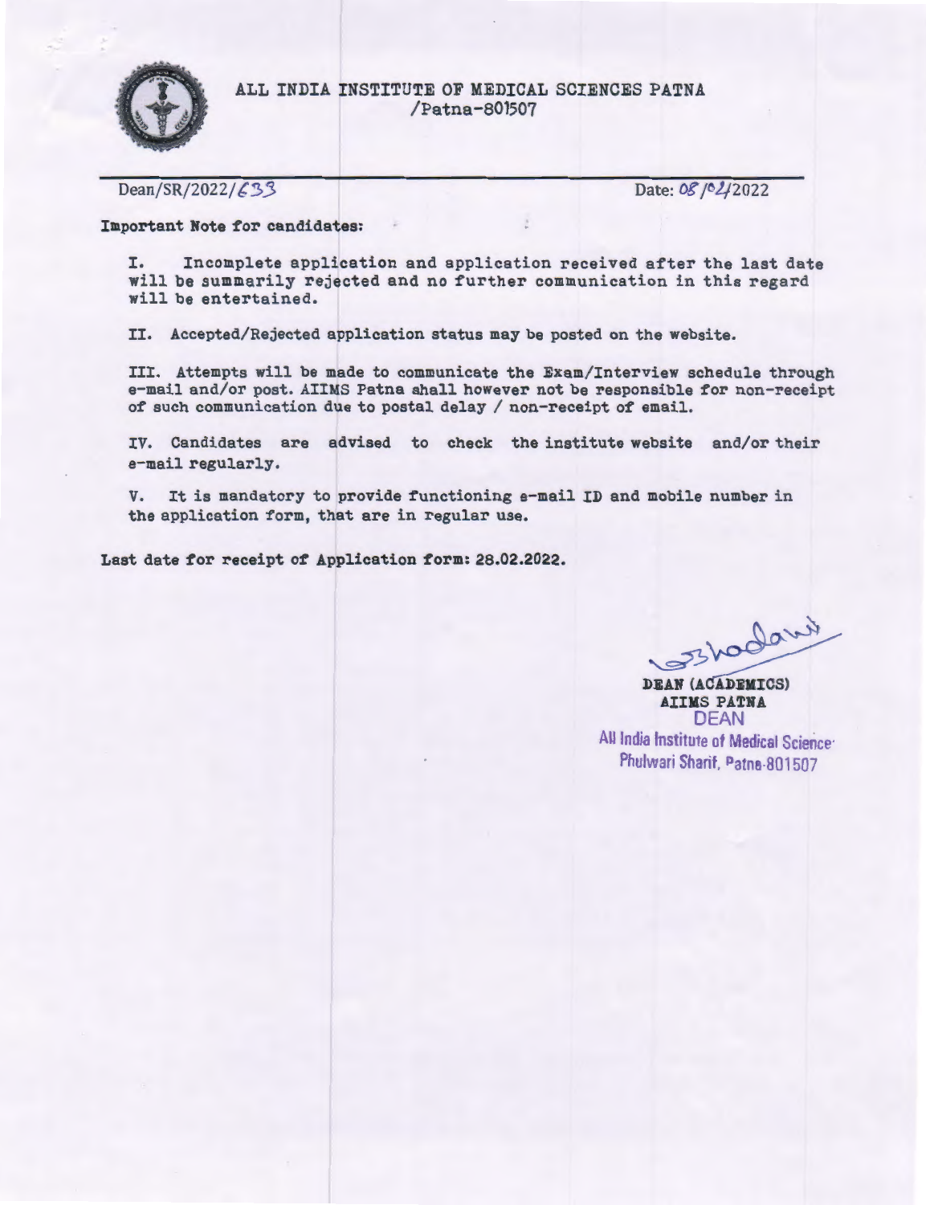

Dean/SR/2022/ $\angle$ 33

Date: 08 / 02/2022

Important Note for candidates:

I. Incomplete application and application received after the last date will be summarily rejected and no further communication in this regard will be entertained.

II. Accepted/Rejected application status may be posted on the website.

III. Attempts will be made to communicate the Exam/Interview schedule through e-mail and/or post. AIIMS Patna shall however not be responsible for non-receipt of such communication due to postal delay  $/$  non-receipt of email.

IV. Candidates are advised to check the institute website and/or their e-mail regularly.

V. It is mandatory to provide functioning e-mail ID and mobile number in the application form, that are in regular use.

Last date for receipt of Application form: 28.02.2022. I

inaborister.

DEAN (ACADEMICS) AIIMS PATNA DEAN All India Institute of Medical Science<sup>-</sup> Phulwari Sharif, Patns-801507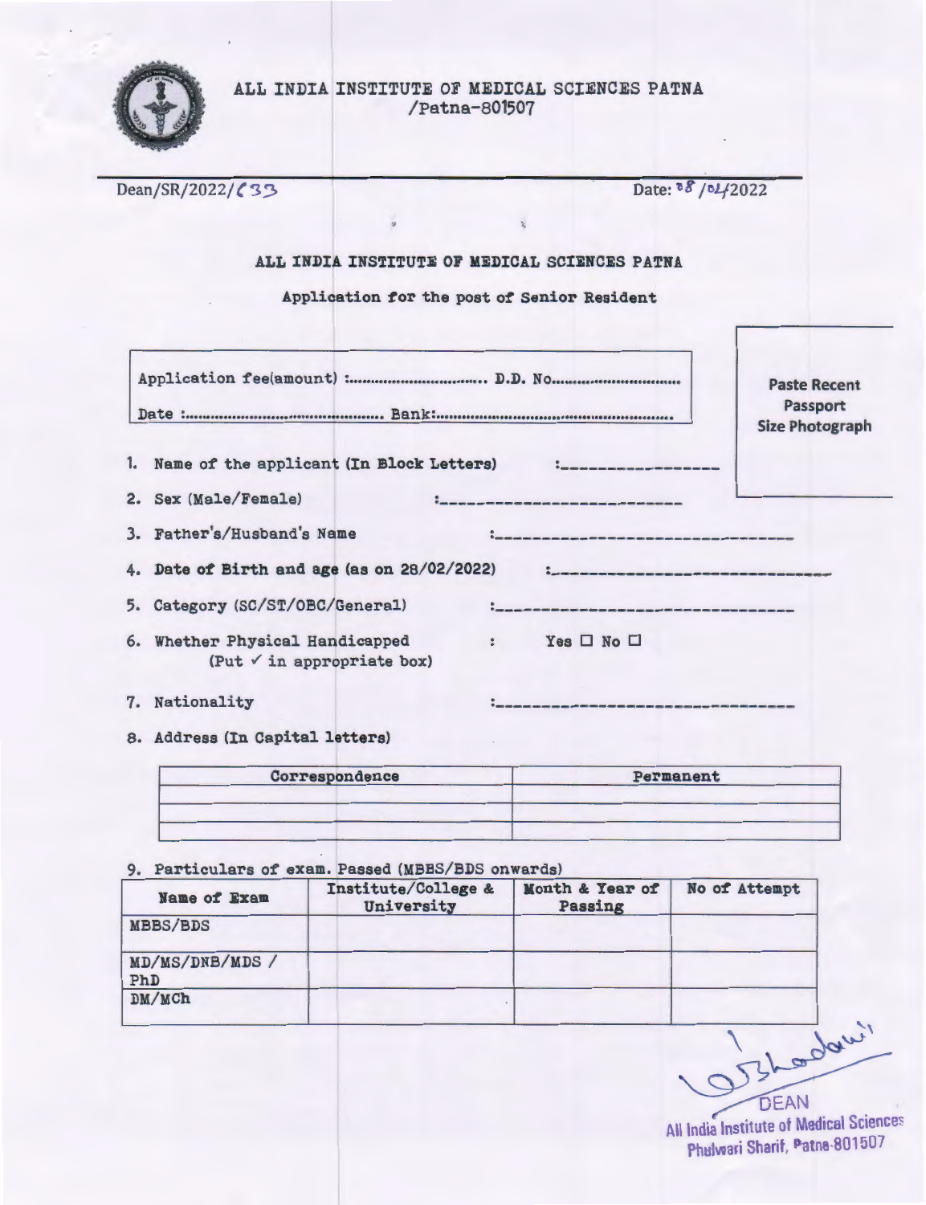

| Dean/SR/2022/633                                                 | Date: 08/04/2022             |                                    |
|------------------------------------------------------------------|------------------------------|------------------------------------|
|                                                                  |                              |                                    |
| ALL INDIA INSTITUTE OF MEDICAL SCIENCES PATNA                    |                              |                                    |
| Application for the post of Senior Resident                      |                              |                                    |
|                                                                  |                              |                                    |
|                                                                  |                              | <b>Paste Recent</b>                |
|                                                                  |                              | Passport<br><b>Size Photograph</b> |
|                                                                  |                              |                                    |
| Name of the applicant (In Block Letters) :_______<br>1.          |                              |                                    |
| Sex (Male/Female)<br>2.                                          |                              |                                    |
| Father's/Husband's Name<br>3.                                    |                              |                                    |
| Date of Birth and age (as on 28/02/2022)<br>4.                   |                              |                                    |
| Category (SC/ST/OBC/General)<br>5.                               |                              |                                    |
| Whether Physical Handicapped<br>6.<br>(Put √ in appropriate box) | : Yes $\square$ No $\square$ |                                    |
| Nationality<br>7.                                                |                              |                                    |
| 8. Address (In Capital letters)                                  |                              |                                    |
| Correspondence                                                   | Permanent                    |                                    |

9. Particulars of exam. Passed (MBBS/BDS onwards)

| <b>Name of Exam</b>    | Institute/College &<br>University | Month & Year of<br>Passing | No of Attempt |
|------------------------|-----------------------------------|----------------------------|---------------|
| <b>MBBS/BDS</b>        |                                   |                            |               |
| MD/MS/DNB/MDS /<br>PhD |                                   |                            |               |
| DM/MCh                 |                                   |                            |               |

EAN All India Institute of Medical Sciences Phulwari Sharif, Patne-801507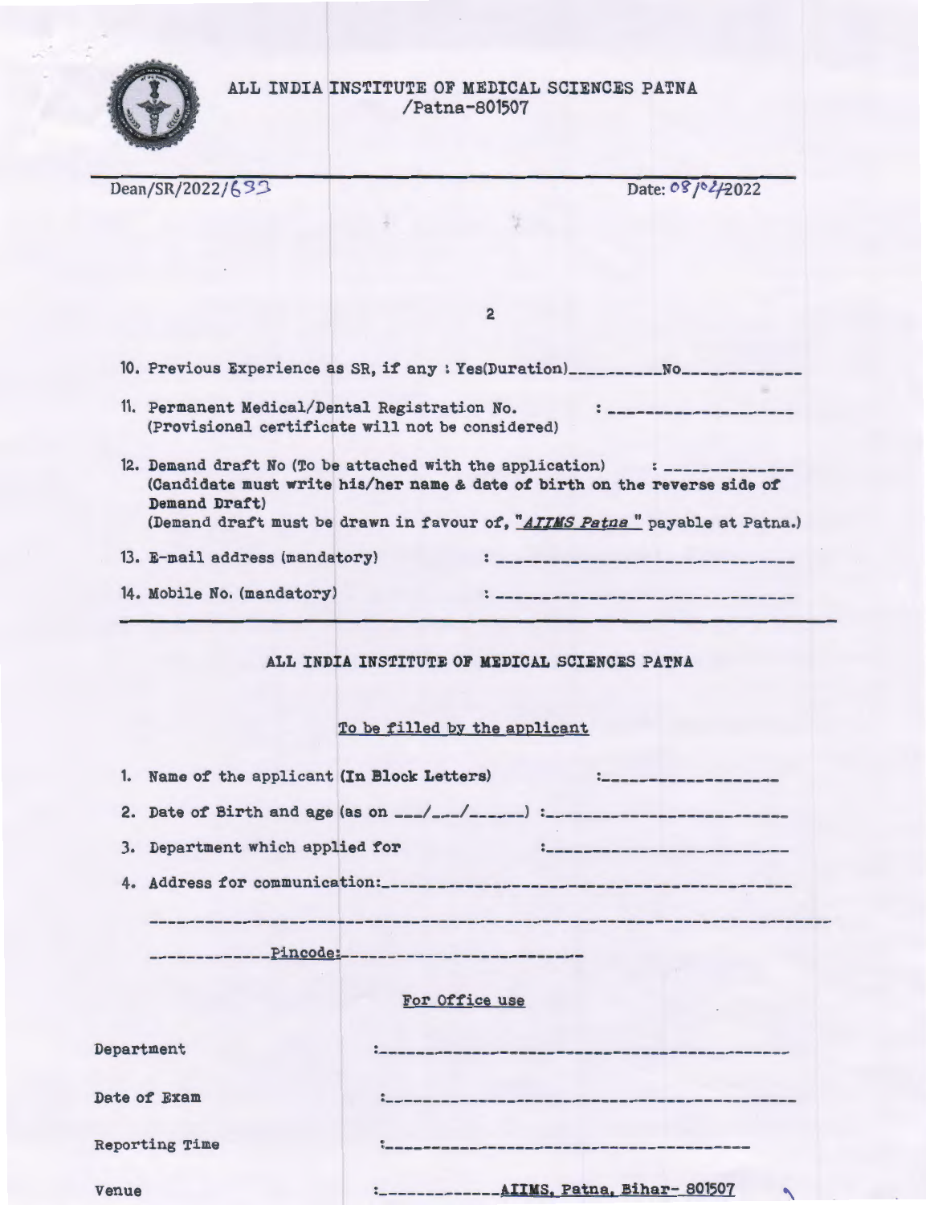

| Dean/SR/2022/693                              | Date: 08/02/2022                                                                                                                                        |
|-----------------------------------------------|---------------------------------------------------------------------------------------------------------------------------------------------------------|
|                                               |                                                                                                                                                         |
|                                               |                                                                                                                                                         |
|                                               |                                                                                                                                                         |
|                                               | $\overline{2}$                                                                                                                                          |
|                                               |                                                                                                                                                         |
|                                               | 10. Previous Experience as SR, if any : Yes(Duration)__________No______________                                                                         |
| 11. Permanent Medical/Dental Registration No. | , ________________________                                                                                                                              |
|                                               | (Provisional certificate will not be considered)                                                                                                        |
|                                               | 12. Demand draft No (To be attached with the application) : ______________<br>(Candidate must write his/her name & date of birth on the reverse side of |
| Demand Draft)                                 | (Demand draft must be drawn in favour of, "AIIMS Patna" payable at Patna.)                                                                              |
|                                               |                                                                                                                                                         |
| 13. E-mail address (mandatory)                |                                                                                                                                                         |
| 14. Mobile No. (mandatory)                    |                                                                                                                                                         |
| 1. Name of the applicant (In Block Letters)   | To be filled by the applicant                                                                                                                           |
|                                               |                                                                                                                                                         |
| 3. Department which applied for               |                                                                                                                                                         |
|                                               |                                                                                                                                                         |
|                                               |                                                                                                                                                         |
|                                               |                                                                                                                                                         |
|                                               |                                                                                                                                                         |
|                                               | For Office use                                                                                                                                          |
| Department                                    | -----------------------------------                                                                                                                     |
| Date of Exam                                  |                                                                                                                                                         |
|                                               |                                                                                                                                                         |
| <b>Reporting Time</b>                         |                                                                                                                                                         |
| Venue                                         | -------------AIIMS, Patna, Bihar-801507                                                                                                                 |